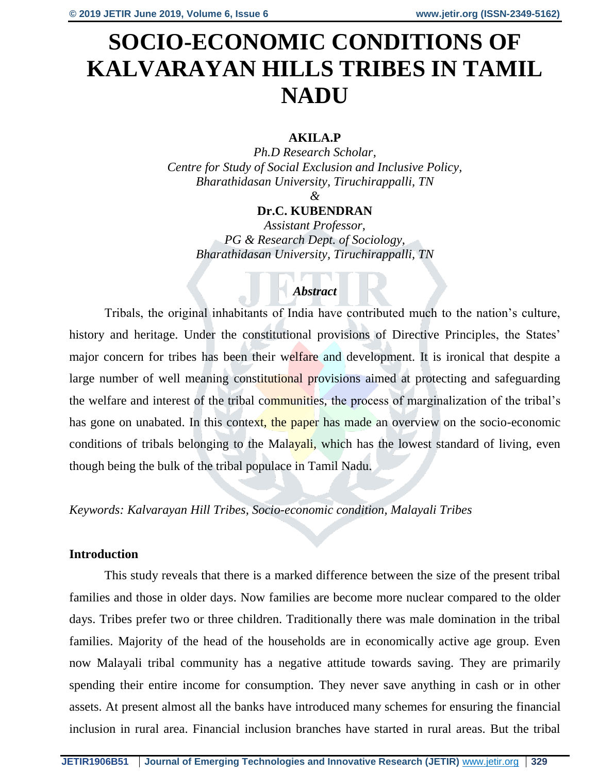# **SOCIO-ECONOMIC CONDITIONS OF KALVARAYAN HILLS TRIBES IN TAMIL NADU**

# **AKILA.P**

*Ph.D Research Scholar, Centre for Study of Social Exclusion and Inclusive Policy, Bharathidasan University, Tiruchirappalli, TN*

#### *&*

## **Dr.C. KUBENDRAN**

*Assistant Professor, PG & Research Dept. of Sociology, Bharathidasan University, Tiruchirappalli, TN*

# *Abstract*

Tribals, the original inhabitants of India have contributed much to the nation's culture, history and heritage. Under the constitutional provisions of Directive Principles, the States' major concern for tribes has been their welfare and development. It is ironical that despite a large number of well meaning constitutional provisions aimed at protecting and safeguarding the welfare and interest of the tribal communities, the process of marginalization of the tribal's has gone on unabated. In this context, the paper has made an overview on the socio-economic conditions of tribals belonging to the Malayali, which has the lowest standard of living, even though being the bulk of the tribal populace in Tamil Nadu.

## *Keywords: Kalvarayan Hill Tribes, Socio-economic condition, Malayali Tribes*

## **Introduction**

This study reveals that there is a marked difference between the size of the present tribal families and those in older days. Now families are become more nuclear compared to the older days. Tribes prefer two or three children. Traditionally there was male domination in the tribal families. Majority of the head of the households are in economically active age group. Even now Malayali tribal community has a negative attitude towards saving. They are primarily spending their entire income for consumption. They never save anything in cash or in other assets. At present almost all the banks have introduced many schemes for ensuring the financial inclusion in rural area. Financial inclusion branches have started in rural areas. But the tribal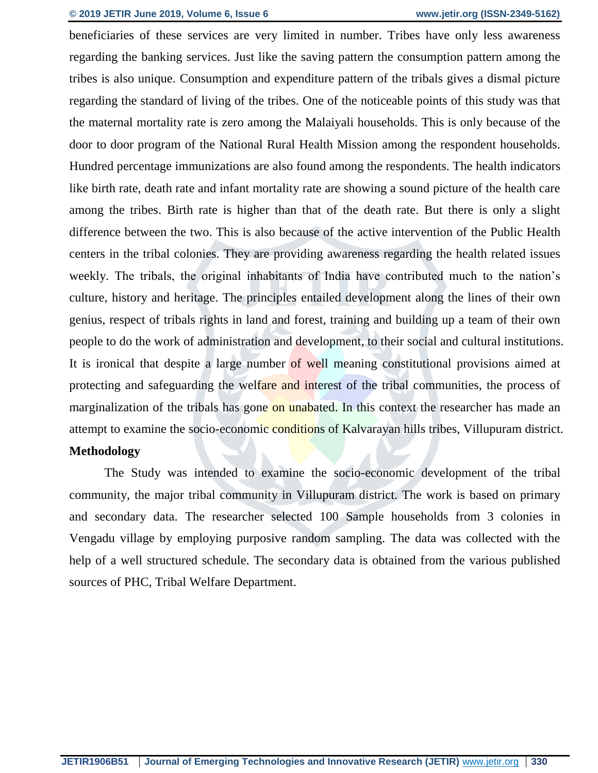beneficiaries of these services are very limited in number. Tribes have only less awareness regarding the banking services. Just like the saving pattern the consumption pattern among the tribes is also unique. Consumption and expenditure pattern of the tribals gives a dismal picture regarding the standard of living of the tribes. One of the noticeable points of this study was that the maternal mortality rate is zero among the Malaiyali households. This is only because of the door to door program of the National Rural Health Mission among the respondent households. Hundred percentage immunizations are also found among the respondents. The health indicators like birth rate, death rate and infant mortality rate are showing a sound picture of the health care among the tribes. Birth rate is higher than that of the death rate. But there is only a slight difference between the two. This is also because of the active intervention of the Public Health centers in the tribal colonies. They are providing awareness regarding the health related issues weekly. The tribals, the original inhabitants of India have contributed much to the nation's culture, history and heritage. The principles entailed development along the lines of their own genius, respect of tribals rights in land and forest, training and building up a team of their own people to do the work of administration and development, to their social and cultural institutions. It is ironical that despite a large number of well meaning constitutional provisions aimed at protecting and safeguarding the welfare and interest of the tribal communities, the process of marginalization of the tribals has gone on unabated. In this context the researcher has made an attempt to examine the socio-economic conditions of Kalvarayan hills tribes, Villupuram district.

# **Methodology**

The Study was intended to examine the socio-economic development of the tribal community, the major tribal community in Villupuram district. The work is based on primary and secondary data. The researcher selected 100 Sample households from 3 colonies in Vengadu village by employing purposive random sampling. The data was collected with the help of a well structured schedule. The secondary data is obtained from the various published sources of PHC, Tribal Welfare Department.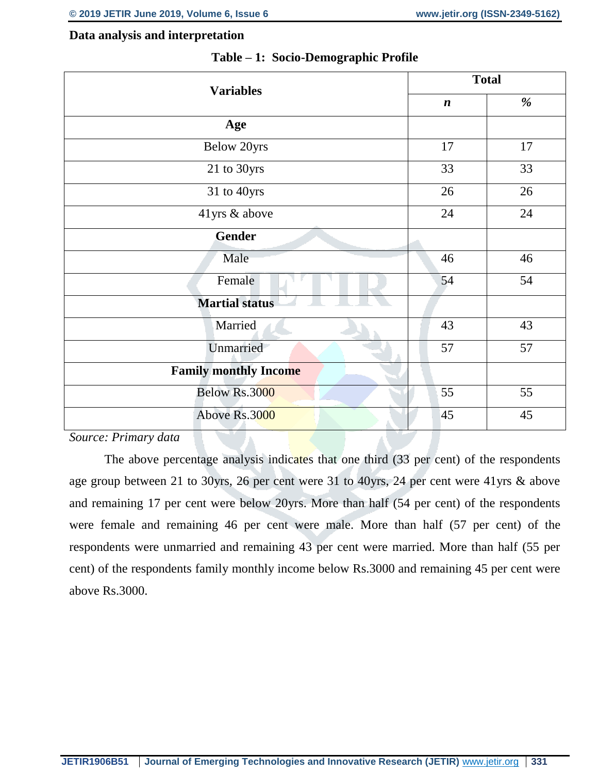#### **Data analysis and interpretation**

| %  |
|----|
|    |
| 17 |
| 33 |
| 26 |
| 24 |
|    |
| 46 |
| 54 |
|    |
| 43 |
| 57 |
|    |
| 55 |
| 45 |
|    |

#### **Table – 1: Socio-Demographic Profile**

*Source: Primary data*

The above percentage analysis indicates that one third (33 per cent) of the respondents age group between 21 to 30yrs, 26 per cent were 31 to 40yrs, 24 per cent were 41yrs & above and remaining 17 per cent were below 20yrs. More than half (54 per cent) of the respondents were female and remaining 46 per cent were male. More than half (57 per cent) of the respondents were unmarried and remaining 43 per cent were married. More than half (55 per cent) of the respondents family monthly income below Rs.3000 and remaining 45 per cent were above Rs.3000.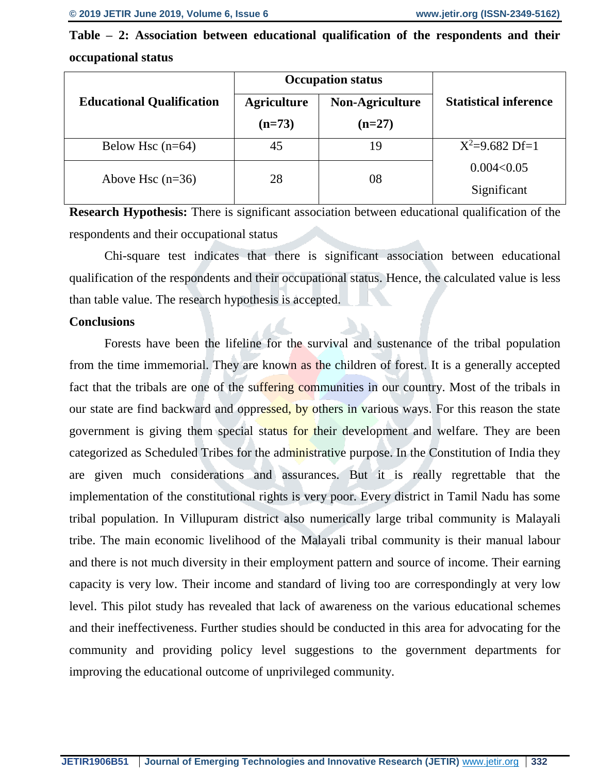**Table – 2: Association between educational qualification of the respondents and their occupational status**

|                                  | <b>Occupation status</b> |                 |                              |
|----------------------------------|--------------------------|-----------------|------------------------------|
| <b>Educational Qualification</b> | <b>Agriculture</b>       | Non-Agriculture | <b>Statistical inference</b> |
|                                  | $(n=73)$                 | $(n=27)$        |                              |
| Below Hsc $(n=64)$               | 45                       | 19              | $X^2=9.682$ Df=1             |
| Above Hsc $(n=36)$               | 28                       | 08              | 0.004<0.05<br>Significant    |

**Research Hypothesis:** There is significant association between educational qualification of the respondents and their occupational status

Chi-square test indicates that there is significant association between educational qualification of the respondents and their occupational status. Hence, the calculated value is less than table value. The research hypothesis is accepted.

### **Conclusions**

Forests have been the lifeline for the survival and sustenance of the tribal population from the time immemorial. They are known as the children of forest. It is a generally accepted fact that the tribals are one of the suffering communities in our country. Most of the tribals in our state are find backward and oppressed, by others in various ways. For this reason the state government is giving them special status for their development and welfare. They are been categorized as Scheduled Tribes for the administrative purpose. In the Constitution of India they are given much considerations and assurances. But it is really regrettable that the implementation of the constitutional rights is very poor. Every district in Tamil Nadu has some tribal population. In Villupuram district also numerically large tribal community is Malayali tribe. The main economic livelihood of the Malayali tribal community is their manual labour and there is not much diversity in their employment pattern and source of income. Their earning capacity is very low. Their income and standard of living too are correspondingly at very low level. This pilot study has revealed that lack of awareness on the various educational schemes and their ineffectiveness. Further studies should be conducted in this area for advocating for the community and providing policy level suggestions to the government departments for improving the educational outcome of unprivileged community.